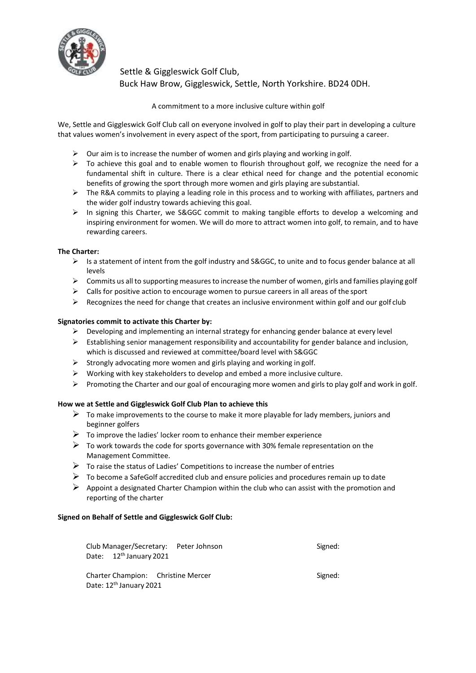

Settle & Giggleswick Golf Club, Buck Haw Brow, Giggleswick, Settle, North Yorkshire. BD24 0DH.

A commitment to a more inclusive culture within golf

We, Settle and Giggleswick Golf Club call on everyone involved in golf to play their part in developing a culture that values women's involvement in every aspect of the sport, from participating to pursuing a career.

- $\triangleright$  Our aim is to increase the number of women and girls playing and working in golf.
- $\triangleright$  To achieve this goal and to enable women to flourish throughout golf, we recognize the need for a fundamental shift in culture. There is a clear ethical need for change and the potential economic benefits of growing the sport through more women and girls playing are substantial.
- $\triangleright$  The R&A commits to playing a leading role in this process and to working with affiliates, partners and the wider golf industry towards achieving this goal.
- $\triangleright$  In signing this Charter, we S&GGC commit to making tangible efforts to develop a welcoming and inspiring environment for women. We will do more to attract women into golf, to remain, and to have rewarding careers.

## **The Charter:**

- $\triangleright$  Is a statement of intent from the golf industry and S&GGC, to unite and to focus gender balance at all levels
- $\triangleright$  Commits us all to supporting measures to increase the number of women, girls and families playing golf
- $\triangleright$  Calls for positive action to encourage women to pursue careers in all areas of the sport
- $\triangleright$  Recognizes the need for change that creates an inclusive environment within golf and our golf club

## **Signatories commit to activate this Charter by:**

- $\triangleright$  Developing and implementing an internal strategy for enhancing gender balance at every level
- $\triangleright$  Establishing senior management responsibility and accountability for gender balance and inclusion, which is discussed and reviewed at committee/board level with S&GGC
- $\triangleright$  Strongly advocating more women and girls playing and working in golf.
- $\triangleright$  Working with key stakeholders to develop and embed a more inclusive culture.
- Promoting the Charter and our goal of encouraging more women and girls to play golf and work in golf.

## **How we at Settle and Giggleswick Golf Club Plan to achieve this**

- $\triangleright$  To make improvements to the course to make it more playable for lady members, juniors and beginner golfers
- $\triangleright$  To improve the ladies' locker room to enhance their member experience
- $\triangleright$  To work towards the code for sports governance with 30% female representation on the Management Committee.
- $\triangleright$  To raise the status of Ladies' Competitions to increase the number of entries
- $\triangleright$  To become a SafeGolf accredited club and ensure policies and procedures remain up to date
- $\triangleright$  Appoint a designated Charter Champion within the club who can assist with the promotion and reporting of the charter

## **Signed on Behalf of Settle and Giggleswick Golf Club:**

| Club Manager/Secretary: Peter Johnson                                     | Signed: |
|---------------------------------------------------------------------------|---------|
| Date: 12 <sup>th</sup> January 2021                                       |         |
| Charter Champion: Christine Mercer<br>Date: 12 <sup>th</sup> January 2021 | Signed: |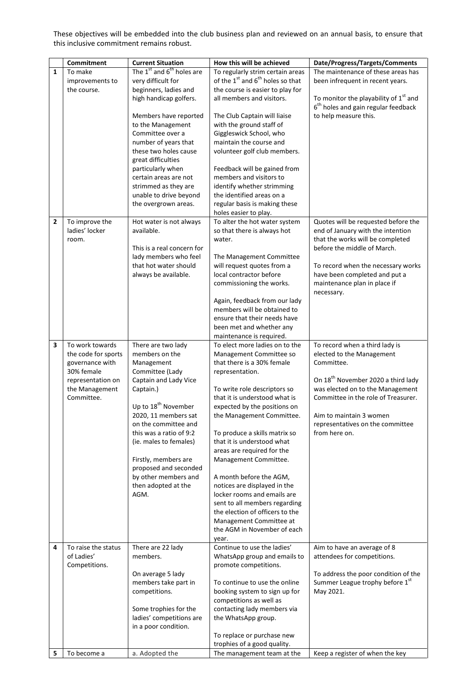These objectives will be embedded into the club business plan and reviewed on an annual basis, to ensure that this inclusive commitment remains robust.

|              | Commitment          | <b>Current Situation</b>                          | How this will be achieved                                | Date/Progress/Targets/Comments                    |
|--------------|---------------------|---------------------------------------------------|----------------------------------------------------------|---------------------------------------------------|
| $\mathbf{1}$ | To make             | The 1 <sup>st</sup> and 6 <sup>th</sup> holes are | To regularly strim certain areas                         | The maintenance of these areas has                |
|              | improvements to     | very difficult for                                | of the 1 <sup>st</sup> and 6 <sup>th</sup> holes so that | been infrequent in recent years.                  |
|              | the course.         | beginners, ladies and                             | the course is easier to play for                         |                                                   |
|              |                     | high handicap golfers.                            | all members and visitors.                                | To monitor the playability of 1 <sup>st</sup> and |
|              |                     |                                                   |                                                          | 6 <sup>th</sup> holes and gain regular feedback   |
|              |                     | Members have reported                             | The Club Captain will liaise                             | to help measure this.                             |
|              |                     | to the Management                                 | with the ground staff of                                 |                                                   |
|              |                     | Committee over a                                  |                                                          |                                                   |
|              |                     |                                                   | Giggleswick School, who                                  |                                                   |
|              |                     | number of years that                              | maintain the course and                                  |                                                   |
|              |                     | these two holes cause                             | volunteer golf club members.                             |                                                   |
|              |                     | great difficulties                                |                                                          |                                                   |
|              |                     | particularly when                                 | Feedback will be gained from                             |                                                   |
|              |                     | certain areas are not                             | members and visitors to                                  |                                                   |
|              |                     | strimmed as they are                              | identify whether strimming                               |                                                   |
|              |                     | unable to drive beyond                            | the identified areas on a                                |                                                   |
|              |                     | the overgrown areas.                              | regular basis is making these                            |                                                   |
|              |                     |                                                   | holes easier to play.                                    |                                                   |
| 2            | To improve the      | Hot water is not always                           | To alter the hot water system                            | Quotes will be requested before the               |
|              | ladies' locker      | available.                                        | so that there is always hot                              | end of January with the intention                 |
|              | room.               |                                                   | water.                                                   | that the works will be completed                  |
|              |                     | This is a real concern for                        |                                                          | before the middle of March.                       |
|              |                     | lady members who feel                             | The Management Committee                                 |                                                   |
|              |                     | that hot water should                             | will request quotes from a                               | To record when the necessary works                |
|              |                     | always be available.                              | local contractor before                                  | have been completed and put a                     |
|              |                     |                                                   | commissioning the works.                                 | maintenance plan in place if                      |
|              |                     |                                                   |                                                          | necessary.                                        |
|              |                     |                                                   | Again, feedback from our lady                            |                                                   |
|              |                     |                                                   | members will be obtained to                              |                                                   |
|              |                     |                                                   |                                                          |                                                   |
|              |                     |                                                   | ensure that their needs have                             |                                                   |
|              |                     |                                                   | been met and whether any                                 |                                                   |
|              |                     |                                                   | maintenance is required.                                 |                                                   |
| 3            | To work towards     | There are two lady                                | To elect more ladies on to the                           | To record when a third lady is                    |
|              | the code for sports | members on the                                    | Management Committee so                                  | elected to the Management                         |
|              | governance with     | Management                                        | that there is a 30% female                               | Committee.                                        |
|              | 30% female          | Committee (Lady                                   | representation.                                          |                                                   |
|              | representation on   | Captain and Lady Vice                             |                                                          | On 18 <sup>th</sup> November 2020 a third lady    |
|              | the Management      | Captain.)                                         | To write role descriptors so                             | was elected on to the Management                  |
|              | Committee.          |                                                   | that it is understood what is                            | Committee in the role of Treasurer.               |
|              |                     | Up to 18 <sup>th</sup> November                   | expected by the positions on                             |                                                   |
|              |                     | 2020, 11 members sat                              | the Management Committee.                                | Aim to maintain 3 women                           |
|              |                     | on the committee and                              |                                                          | representatives on the committee                  |
|              |                     | this was a ratio of 9:2                           | To produce a skills matrix so                            | from here on.                                     |
|              |                     | (ie. males to females)                            | that it is understood what                               |                                                   |
|              |                     |                                                   | areas are required for the                               |                                                   |
|              |                     | Firstly, members are                              | Management Committee.                                    |                                                   |
|              |                     | proposed and seconded                             |                                                          |                                                   |
|              |                     | by other members and                              | A month before the AGM,                                  |                                                   |
|              |                     | then adopted at the                               | notices are displayed in the                             |                                                   |
|              |                     | AGM.                                              | locker rooms and emails are                              |                                                   |
|              |                     |                                                   | sent to all members regarding                            |                                                   |
|              |                     |                                                   | the election of officers to the                          |                                                   |
|              |                     |                                                   |                                                          |                                                   |
|              |                     |                                                   | Management Committee at<br>the AGM in November of each   |                                                   |
|              |                     |                                                   |                                                          |                                                   |
|              |                     |                                                   | year.                                                    |                                                   |
| 4            | To raise the status | There are 22 lady                                 | Continue to use the ladies'                              | Aim to have an average of 8                       |
|              | of Ladies'          | members.                                          | WhatsApp group and emails to                             | attendees for competitions.                       |
|              | Competitions.       |                                                   | promote competitions.                                    |                                                   |
|              |                     | On average 5 lady                                 |                                                          | To address the poor condition of the              |
|              |                     | members take part in                              | To continue to use the online                            | Summer League trophy before 1st                   |
|              |                     | competitions.                                     | booking system to sign up for                            | May 2021.                                         |
|              |                     |                                                   | competitions as well as                                  |                                                   |
|              |                     | Some trophies for the                             | contacting lady members via                              |                                                   |
|              |                     | ladies' competitions are                          | the WhatsApp group.                                      |                                                   |
|              |                     | in a poor condition.                              |                                                          |                                                   |
|              |                     |                                                   | To replace or purchase new                               |                                                   |
|              |                     |                                                   | trophies of a good quality.                              |                                                   |
| 5            | To become a         | a. Adopted the                                    | The management team at the                               | Keep a register of when the key                   |